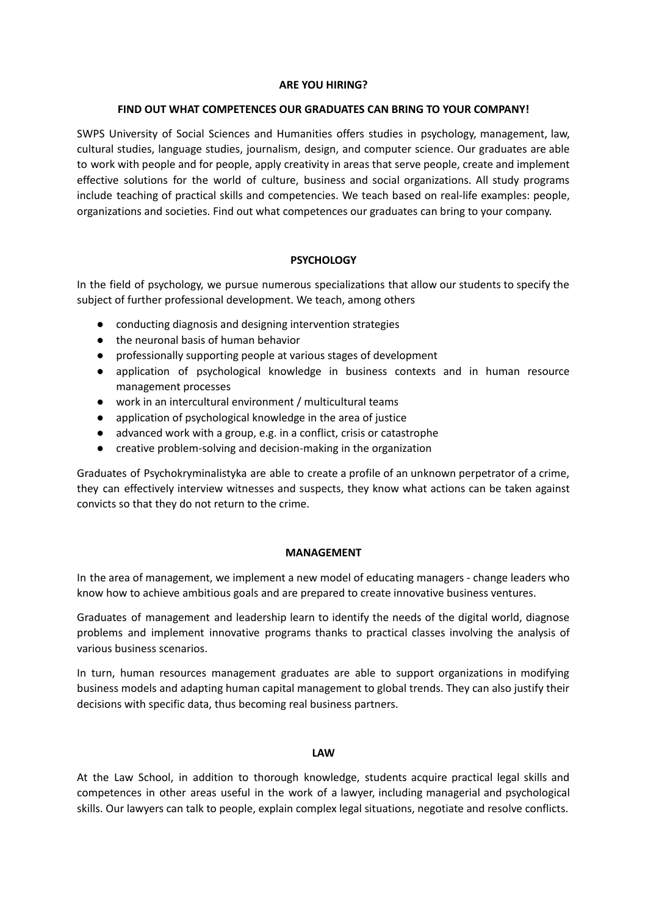#### **ARE YOU HIRING?**

#### **FIND OUT WHAT COMPETENCES OUR GRADUATES CAN BRING TO YOUR COMPANY!**

SWPS University of Social Sciences and Humanities offers studies in psychology, management, law, cultural studies, language studies, journalism, design, and computer science. Our graduates are able to work with people and for people, apply creativity in areas that serve people, create and implement effective solutions for the world of culture, business and social organizations. All study programs include teaching of practical skills and competencies. We teach based on real-life examples: people, organizations and societies. Find out what competences our graduates can bring to your company.

# **PSYCHOLOGY**

In the field of psychology, we pursue numerous specializations that allow our students to specify the subject of further professional development. We teach, among others

- conducting diagnosis and designing intervention strategies
- the neuronal basis of human behavior
- professionally supporting people at various stages of development
- application of psychological knowledge in business contexts and in human resource management processes
- work in an intercultural environment / multicultural teams
- application of psychological knowledge in the area of justice
- advanced work with a group, e.g. in a conflict, crisis or catastrophe
- creative problem-solving and decision-making in the organization

Graduates of Psychokryminalistyka are able to create a profile of an unknown perpetrator of a crime, they can effectively interview witnesses and suspects, they know what actions can be taken against convicts so that they do not return to the crime.

## **MANAGEMENT**

In the area of management, we implement a new model of educating managers - change leaders who know how to achieve ambitious goals and are prepared to create innovative business ventures.

Graduates of management and leadership learn to identify the needs of the digital world, diagnose problems and implement innovative programs thanks to practical classes involving the analysis of various business scenarios.

In turn, human resources management graduates are able to support organizations in modifying business models and adapting human capital management to global trends. They can also justify their decisions with specific data, thus becoming real business partners.

## **LAW**

At the Law School, in addition to thorough knowledge, students acquire practical legal skills and competences in other areas useful in the work of a lawyer, including managerial and psychological skills. Our lawyers can talk to people, explain complex legal situations, negotiate and resolve conflicts.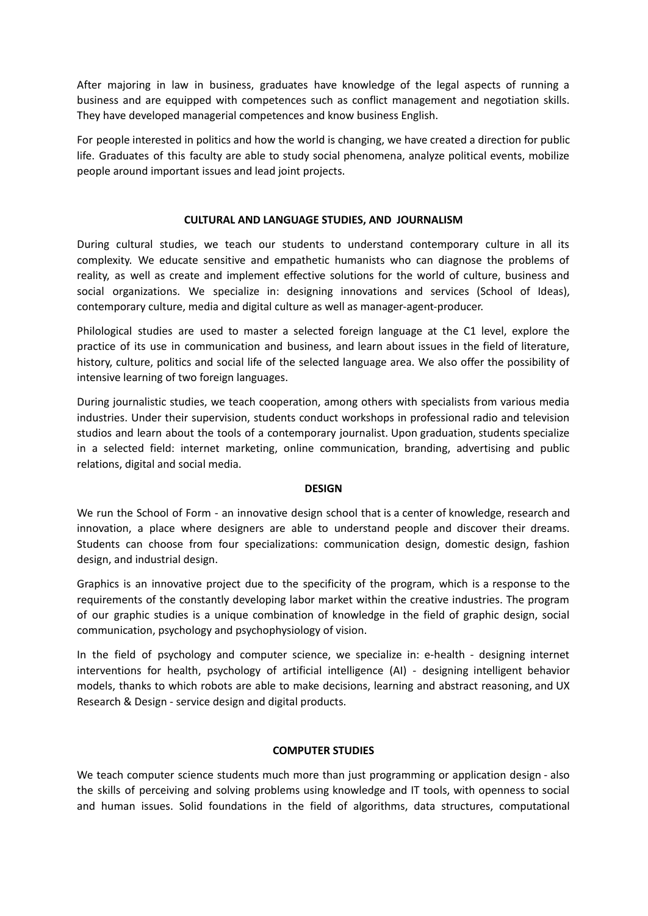After majoring in law in business, graduates have knowledge of the legal aspects of running a business and are equipped with competences such as conflict management and negotiation skills. They have developed managerial competences and know business English.

For people interested in politics and how the world is changing, we have created a direction for public life. Graduates of this faculty are able to study social phenomena, analyze political events, mobilize people around important issues and lead joint projects.

## **CULTURAL AND LANGUAGE STUDIES, AND JOURNALISM**

During cultural studies, we teach our students to understand contemporary culture in all its complexity. We educate sensitive and empathetic humanists who can diagnose the problems of reality, as well as create and implement effective solutions for the world of culture, business and social organizations. We specialize in: designing innovations and services (School of Ideas), contemporary culture, media and digital culture as well as manager-agent-producer.

Philological studies are used to master a selected foreign language at the C1 level, explore the practice of its use in communication and business, and learn about issues in the field of literature, history, culture, politics and social life of the selected language area. We also offer the possibility of intensive learning of two foreign languages.

During journalistic studies, we teach cooperation, among others with specialists from various media industries. Under their supervision, students conduct workshops in professional radio and television studios and learn about the tools of a contemporary journalist. Upon graduation, students specialize in a selected field: internet marketing, online communication, branding, advertising and public relations, digital and social media.

#### **DESIGN**

We run the School of Form - an innovative design school that is a center of knowledge, research and innovation, a place where designers are able to understand people and discover their dreams. Students can choose from four specializations: communication design, domestic design, fashion design, and industrial design.

Graphics is an innovative project due to the specificity of the program, which is a response to the requirements of the constantly developing labor market within the creative industries. The program of our graphic studies is a unique combination of knowledge in the field of graphic design, social communication, psychology and psychophysiology of vision.

In the field of psychology and computer science, we specialize in: e-health - designing internet interventions for health, psychology of artificial intelligence (AI) - designing intelligent behavior models, thanks to which robots are able to make decisions, learning and abstract reasoning, and UX Research & Design - service design and digital products.

#### **COMPUTER STUDIES**

We teach computer science students much more than just programming or application design - also the skills of perceiving and solving problems using knowledge and IT tools, with openness to social and human issues. Solid foundations in the field of algorithms, data structures, computational